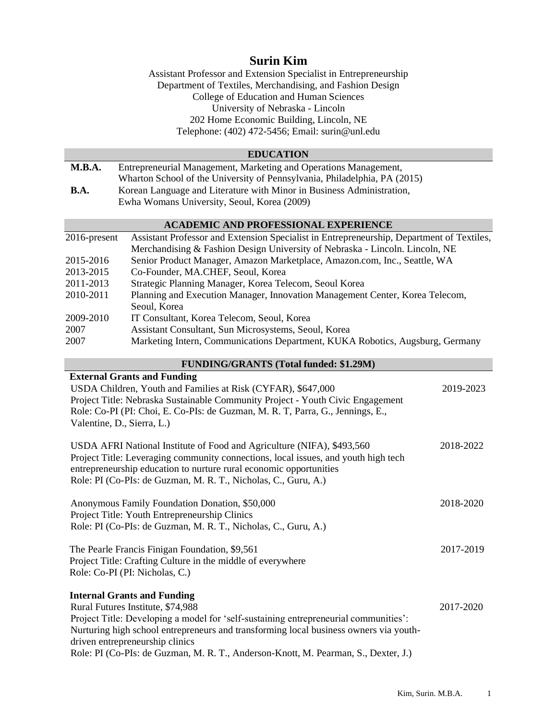# **Surin Kim**

Assistant Professor and Extension Specialist in Entrepreneurship Department of Textiles, Merchandising, and Fashion Design College of Education and Human Sciences University of Nebraska - Lincoln 202 Home Economic Building, Lincoln, NE Telephone: (402) 472-5456; Email: surin@unl.edu

# **EDUCATION**

**M.B.A.** Entrepreneurial Management, Marketing and Operations Management, Wharton School of the University of Pennsylvania, Philadelphia, PA (2015) **B.A.** Korean Language and Literature with Minor in Business Administration, Ewha Womans University, Seoul, Korea (2009)

#### **ACADEMIC AND PROFESSIONAL EXPERIENCE**

| $2016$ -present | Assistant Professor and Extension Specialist in Entrepreneurship, Department of Textiles, |
|-----------------|-------------------------------------------------------------------------------------------|
|                 | Merchandising & Fashion Design University of Nebraska - Lincoln. Lincoln, NE              |
| 2015-2016       | Senior Product Manager, Amazon Marketplace, Amazon.com, Inc., Seattle, WA                 |
| 2013-2015       | Co-Founder, MA.CHEF, Seoul, Korea                                                         |
| 2011-2013       | Strategic Planning Manager, Korea Telecom, Seoul Korea                                    |
| 2010-2011       | Planning and Execution Manager, Innovation Management Center, Korea Telecom,              |
|                 | Seoul, Korea                                                                              |
| 2009-2010       | IT Consultant, Korea Telecom, Seoul, Korea                                                |
| 2007            | Assistant Consultant, Sun Microsystems, Seoul, Korea                                      |
| 2007            | Marketing Intern, Communications Department, KUKA Robotics, Augsburg, Germany             |

#### **FUNDING/GRANTS (Total funded: \$1.29M)**

| <b>External Grants and Funding</b>                                                    |           |
|---------------------------------------------------------------------------------------|-----------|
| USDA Children, Youth and Families at Risk (CYFAR), \$647,000                          | 2019-2023 |
| Project Title: Nebraska Sustainable Community Project - Youth Civic Engagement        |           |
| Role: Co-PI (PI: Choi, E. Co-PIs: de Guzman, M. R. T, Parra, G., Jennings, E.,        |           |
| Valentine, D., Sierra, L.)                                                            |           |
| USDA AFRI National Institute of Food and Agriculture (NIFA), \$493,560                | 2018-2022 |
| Project Title: Leveraging community connections, local issues, and youth high tech    |           |
| entrepreneurship education to nurture rural economic opportunities                    |           |
| Role: PI (Co-PIs: de Guzman, M. R. T., Nicholas, C., Guru, A.)                        |           |
| Anonymous Family Foundation Donation, \$50,000                                        | 2018-2020 |
| Project Title: Youth Entrepreneurship Clinics                                         |           |
| Role: PI (Co-PIs: de Guzman, M. R. T., Nicholas, C., Guru, A.)                        |           |
| The Pearle Francis Finigan Foundation, \$9,561                                        | 2017-2019 |
| Project Title: Crafting Culture in the middle of everywhere                           |           |
| Role: Co-PI (PI: Nicholas, C.)                                                        |           |
| <b>Internal Grants and Funding</b>                                                    |           |
| Rural Futures Institute, \$74,988                                                     | 2017-2020 |
| Project Title: Developing a model for 'self-sustaining entrepreneurial communities':  |           |
| Nurturing high school entrepreneurs and transforming local business owners via youth- |           |
| driven entrepreneurship clinics                                                       |           |
| Role: PI (Co-PIs: de Guzman, M. R. T., Anderson-Knott, M. Pearman, S., Dexter, J.)    |           |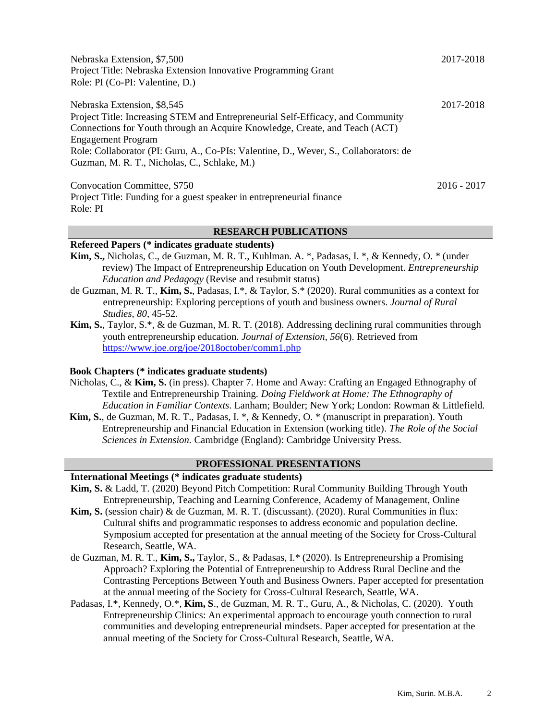| Nebraska Extension, \$7,500<br>Project Title: Nebraska Extension Innovative Programming Grant<br>Role: PI (Co-PI: Valentine, D.)                                                                                                                                                                                                                                    | 2017-2018     |
|---------------------------------------------------------------------------------------------------------------------------------------------------------------------------------------------------------------------------------------------------------------------------------------------------------------------------------------------------------------------|---------------|
| Nebraska Extension, \$8,545<br>Project Title: Increasing STEM and Entrepreneurial Self-Efficacy, and Community<br>Connections for Youth through an Acquire Knowledge, Create, and Teach (ACT)<br><b>Engagement Program</b><br>Role: Collaborator (PI: Guru, A., Co-PIs: Valentine, D., Wever, S., Collaborators: de<br>Guzman, M. R. T., Nicholas, C., Schlake, M.) | 2017-2018     |
| Convocation Committee, \$750<br>Project Title: Funding for a guest speaker in entrepreneurial finance<br>Role: PI                                                                                                                                                                                                                                                   | $2016 - 2017$ |

## **RESEARCH PUBLICATIONS**

## **Refereed Papers (\* indicates graduate students)**

- **Kim, S.,** Nicholas, C., de Guzman, M. R. T., Kuhlman. A. \*, Padasas, I. \*, & Kennedy, O. \* (under review) The Impact of Entrepreneurship Education on Youth Development. *Entrepreneurship Education and Pedagogy* (Revise and resubmit status)
- de Guzman, M. R. T., **Kim, S.**, Padasas, I.\*, & Taylor, S.\* (2020). Rural communities as a context for entrepreneurship: Exploring perceptions of youth and business owners. *Journal of Rural Studies, 80,* 45-52.
- **Kim, S.**, Taylor, S.\*, & de Guzman, M. R. T. (2018). Addressing declining rural communities through youth entrepreneurship education. *Journal of Extension*, *56*(6). Retrieved from <https://www.joe.org/joe/2018october/comm1.php>

## **Book Chapters (\* indicates graduate students)**

- Nicholas, C., & **Kim, S.** (in press). Chapter 7. Home and Away: Crafting an Engaged Ethnography of Textile and Entrepreneurship Training*. Doing Fieldwork at Home: The Ethnography of Education in Familiar Contexts*. Lanham; Boulder; New York; London: Rowman & Littlefield.
- **Kim, S.**, de Guzman, M. R. T., Padasas, I. \*, & Kennedy, O. \* (manuscript in preparation). Youth Entrepreneurship and Financial Education in Extension (working title)*. The Role of the Social Sciences in Extension.* Cambridge (England): Cambridge University Press.

## **PROFESSIONAL PRESENTATIONS**

# **International Meetings (\* indicates graduate students)**

- **Kim, S.** & Ladd, T. (2020) Beyond Pitch Competition: Rural Community Building Through Youth Entrepreneurship, Teaching and Learning Conference, Academy of Management, Online
- **Kim, S.** (session chair) & de Guzman, M. R. T. (discussant). (2020). Rural Communities in flux: Cultural shifts and programmatic responses to address economic and population decline. Symposium accepted for presentation at the annual meeting of the Society for Cross-Cultural Research, Seattle, WA.
- de Guzman, M. R. T., **Kim, S.,** Taylor, S., & Padasas, I.\* (2020). Is Entrepreneurship a Promising Approach? Exploring the Potential of Entrepreneurship to Address Rural Decline and the Contrasting Perceptions Between Youth and Business Owners. Paper accepted for presentation at the annual meeting of the Society for Cross-Cultural Research, Seattle, WA.
- Padasas, I.\*, Kennedy, O.\*, **Kim, S**., de Guzman, M. R. T., Guru, A., & Nicholas, C. (2020). Youth Entrepreneurship Clinics: An experimental approach to encourage youth connection to rural communities and developing entrepreneurial mindsets. Paper accepted for presentation at the annual meeting of the Society for Cross-Cultural Research, Seattle, WA.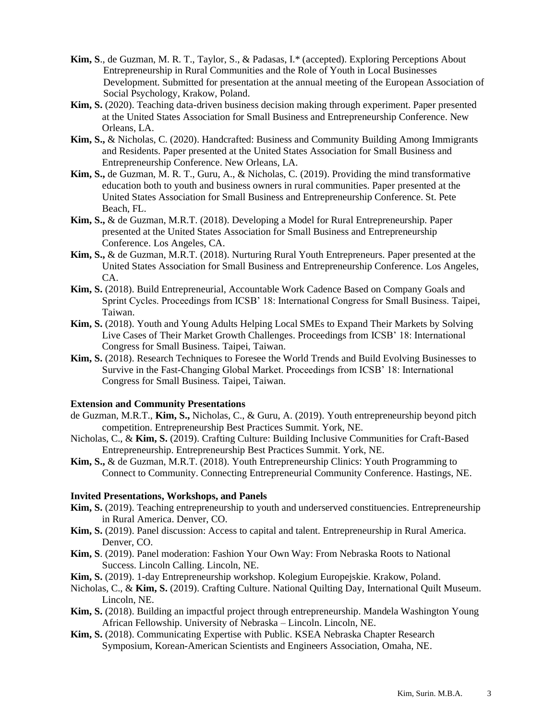- **Kim, S**., de Guzman, M. R. T., Taylor, S., & Padasas, I.\* (accepted). Exploring Perceptions About Entrepreneurship in Rural Communities and the Role of Youth in Local Businesses Development. Submitted for presentation at the annual meeting of the European Association of Social Psychology, Krakow, Poland.
- **Kim, S.** (2020). Teaching data-driven business decision making through experiment. Paper presented at the United States Association for Small Business and Entrepreneurship Conference. New Orleans, LA.
- **Kim, S.,** & Nicholas, C. (2020). Handcrafted: Business and Community Building Among Immigrants and Residents. Paper presented at the United States Association for Small Business and Entrepreneurship Conference. New Orleans, LA.
- **Kim, S.,** de Guzman, M. R. T., Guru, A., & Nicholas, C. (2019). Providing the mind transformative education both to youth and business owners in rural communities. Paper presented at the United States Association for Small Business and Entrepreneurship Conference. St. Pete Beach, FL.
- **Kim, S.,** & de Guzman, M.R.T. (2018). Developing a Model for Rural Entrepreneurship. Paper presented at the United States Association for Small Business and Entrepreneurship Conference. Los Angeles, CA.
- **Kim, S.,** & de Guzman, M.R.T. (2018). Nurturing Rural Youth Entrepreneurs. Paper presented at the United States Association for Small Business and Entrepreneurship Conference. Los Angeles, CA.
- **Kim, S.** (2018). Build Entrepreneurial, Accountable Work Cadence Based on Company Goals and Sprint Cycles. Proceedings from ICSB' 18: International Congress for Small Business. Taipei, Taiwan.
- **Kim, S.** (2018). Youth and Young Adults Helping Local SMEs to Expand Their Markets by Solving Live Cases of Their Market Growth Challenges. Proceedings from ICSB' 18: International Congress for Small Business. Taipei, Taiwan.
- **Kim, S.** (2018). Research Techniques to Foresee the World Trends and Build Evolving Businesses to Survive in the Fast-Changing Global Market. Proceedings from ICSB' 18: International Congress for Small Business*.* Taipei, Taiwan.

# **Extension and Community Presentations**

- de Guzman, M.R.T., **Kim, S.,** Nicholas, C., & Guru, A. (2019). Youth entrepreneurship beyond pitch competition. Entrepreneurship Best Practices Summit. York, NE.
- Nicholas, C., & **Kim, S.** (2019). Crafting Culture: Building Inclusive Communities for Craft-Based Entrepreneurship. Entrepreneurship Best Practices Summit. York, NE.
- **Kim, S.,** & de Guzman, M.R.T. (2018). Youth Entrepreneurship Clinics: Youth Programming to Connect to Community. Connecting Entrepreneurial Community Conference. Hastings, NE.

## **Invited Presentations, Workshops, and Panels**

- **Kim, S.** (2019). Teaching entrepreneurship to youth and underserved constituencies. Entrepreneurship in Rural America. Denver, CO.
- **Kim, S.** (2019). Panel discussion: Access to capital and talent. Entrepreneurship in Rural America. Denver, CO.
- **Kim, S**. (2019). Panel moderation: Fashion Your Own Way: From Nebraska Roots to National Success. Lincoln Calling. Lincoln, NE.
- **Kim, S.** (2019). 1-day Entrepreneurship workshop. Kolegium Europejskie. Krakow, Poland.
- Nicholas, C., & **Kim, S.** (2019). Crafting Culture. National Quilting Day, International Quilt Museum. Lincoln, NE.
- **Kim, S.** (2018). Building an impactful project through entrepreneurship. Mandela Washington Young African Fellowship. University of Nebraska – Lincoln. Lincoln, NE.
- **Kim, S.** (2018). Communicating Expertise with Public. KSEA Nebraska Chapter Research Symposium, Korean-American Scientists and Engineers Association, Omaha, NE.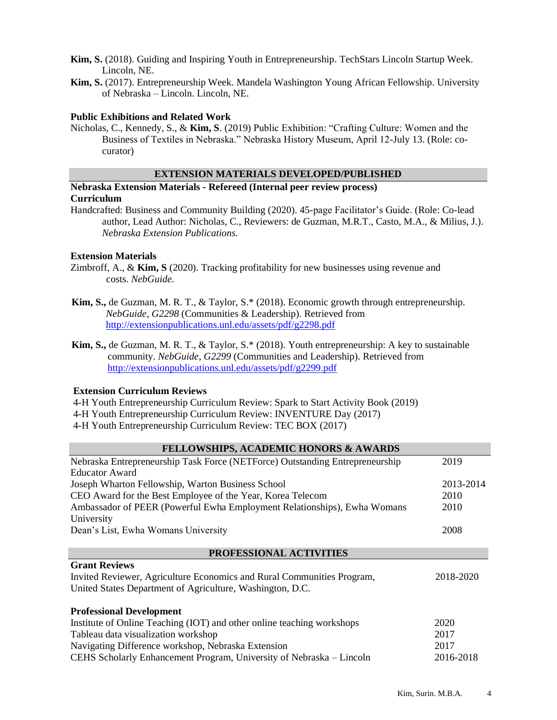- **Kim, S.** (2018). Guiding and Inspiring Youth in Entrepreneurship. TechStars Lincoln Startup Week. Lincoln, NE.
- **Kim, S.** (2017). Entrepreneurship Week. Mandela Washington Young African Fellowship. University of Nebraska – Lincoln. Lincoln, NE.

## **Public Exhibitions and Related Work**

Nicholas, C., Kennedy, S., & **Kim, S**. (2019) Public Exhibition: "Crafting Culture: Women and the Business of Textiles in Nebraska." Nebraska History Museum, April 12-July 13. (Role: cocurator)

# **EXTENSION MATERIALS DEVELOPED/PUBLISHED**

# **Nebraska Extension Materials - Refereed (Internal peer review process) Curriculum**

Handcrafted: Business and Community Building (2020). 45-page Facilitator's Guide. (Role: Co-lead author, Lead Author: Nicholas, C., Reviewers: de Guzman, M.R.T., Casto, M.A., & Milius, J.). *Nebraska Extension Publications.*

# **Extension Materials**

- Zimbroff, A., & **Kim, S** (2020). Tracking profitability for new businesses using revenue and costs. *NebGuide.*
- **Kim, S.,** de Guzman, M. R. T., & Taylor, S.\* (2018). Economic growth through entrepreneurship. *NebGuide*, *G2298* (Communities & Leadership). Retrieved from <http://extensionpublications.unl.edu/assets/pdf/g2298.pdf>
- **Kim, S.,** de Guzman, M. R. T., & Taylor, S.\* (2018). Youth entrepreneurship: A key to sustainable community. *NebGuide*, *G2299* (Communities and Leadership). Retrieved from <http://extensionpublications.unl.edu/assets/pdf/g2299.pdf>

## **Extension Curriculum Reviews**

- 4-H Youth Entrepreneurship Curriculum Review: Spark to Start Activity Book (2019)
- 4-H Youth Entrepreneurship Curriculum Review: INVENTURE Day (2017)
- 4-H Youth Entrepreneurship Curriculum Review: TEC BOX (2017)

| <b>FELLOWSHIPS, ACADEMIC HONORS &amp; AWARDS</b>                                    |           |  |
|-------------------------------------------------------------------------------------|-----------|--|
| Nebraska Entrepreneurship Task Force (NETForce) Outstanding Entrepreneurship        | 2019      |  |
| <b>Educator Award</b>                                                               |           |  |
| Joseph Wharton Fellowship, Warton Business School                                   | 2013-2014 |  |
| CEO Award for the Best Employee of the Year, Korea Telecom                          | 2010      |  |
| Ambassador of PEER (Powerful Ewha Employment Relationships), Ewha Womans            | 2010      |  |
| University                                                                          |           |  |
| Dean's List, Ewha Womans University                                                 | 2008      |  |
|                                                                                     |           |  |
| PROFESSIONAL ACTIVITIES                                                             |           |  |
| <b>Grant Reviews</b>                                                                |           |  |
| Invited Reviewer, Agriculture Economics and Rural Communities Program,<br>2018-2020 |           |  |
| United States Department of Agriculture, Washington, D.C.                           |           |  |
| <b>Professional Development</b>                                                     |           |  |
| Institute of Online Teaching (IOT) and other online teaching workshops              | 2020      |  |
| Tableau data visualization workshop                                                 | 2017      |  |
| Navigating Difference workshop, Nebraska Extension                                  | 2017      |  |
| CEHS Scholarly Enhancement Program, University of Nebraska – Lincoln                | 2016-2018 |  |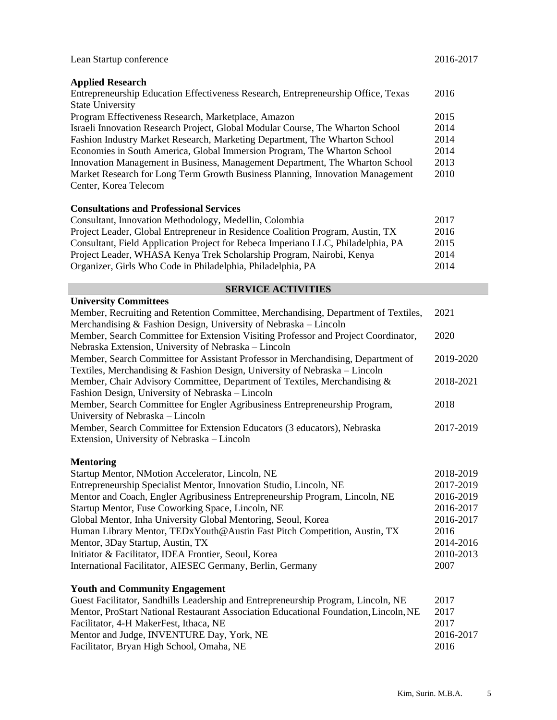| Lean Startup conference                                                           |      |
|-----------------------------------------------------------------------------------|------|
| <b>Applied Research</b>                                                           |      |
| Entrepreneurship Education Effectiveness Research, Entrepreneurship Office, Texas | 2016 |
| <b>State University</b>                                                           |      |
| Program Effectiveness Research, Marketplace, Amazon                               | 2015 |
| Israeli Innovation Research Project, Global Modular Course, The Wharton School    | 2014 |
| Fashion Industry Market Research, Marketing Department, The Wharton School        | 2014 |
| Economies in South America, Global Immersion Program, The Wharton School          | 2014 |
| Innovation Management in Business, Management Department, The Wharton School      | 2013 |
| Market Research for Long Term Growth Business Planning, Innovation Management     | 2010 |
| Center, Korea Telecom                                                             |      |
| <b>Consultations and Professional Services</b>                                    |      |
| Consultant, Innovation Methodology, Medellin, Colombia                            | 2017 |

| Consultant, Innovation Methodology, Medellin, Colombia                           | 20 L Z |
|----------------------------------------------------------------------------------|--------|
| Project Leader, Global Entrepreneur in Residence Coalition Program, Austin, TX   | 2016   |
| Consultant, Field Application Project for Rebeca Imperiano LLC, Philadelphia, PA | 2015   |
| Project Leader, WHASA Kenya Trek Scholarship Program, Nairobi, Kenya             | 2014   |
| Organizer, Girls Who Code in Philadelphia, Philadelphia, PA                      | 2014   |

# **SERVICE ACTIVITIES**

|  |  |  |  | <b>University Committees</b> |
|--|--|--|--|------------------------------|
|--|--|--|--|------------------------------|

| Member, Recruiting and Retention Committee, Merchandising, Department of Textiles, | 2021      |
|------------------------------------------------------------------------------------|-----------|
| Merchandising $&$ Fashion Design, University of Nebraska – Lincoln                 |           |
| Member, Search Committee for Extension Visiting Professor and Project Coordinator, | 2020      |
| Nebraska Extension, University of Nebraska – Lincoln                               |           |
| Member, Search Committee for Assistant Professor in Merchandising, Department of   | 2019-2020 |
| Textiles, Merchandising & Fashion Design, University of Nebraska – Lincoln         |           |
| Member, Chair Advisory Committee, Department of Textiles, Merchandising &          | 2018-2021 |
| Fashion Design, University of Nebraska – Lincoln                                   |           |
| Member, Search Committee for Engler Agribusiness Entrepreneurship Program,         | 2018      |
| University of Nebraska – Lincoln                                                   |           |
| Member, Search Committee for Extension Educators (3 educators), Nebraska           | 2017-2019 |
| Extension, University of Nebraska – Lincoln                                        |           |
|                                                                                    |           |

# **Mentoring**

| Startup Mentor, NMotion Accelerator, Lincoln, NE                            | 2018-2019 |
|-----------------------------------------------------------------------------|-----------|
| Entrepreneurship Specialist Mentor, Innovation Studio, Lincoln, NE          | 2017-2019 |
| Mentor and Coach, Engler Agribusiness Entrepreneurship Program, Lincoln, NE | 2016-2019 |
| Startup Mentor, Fuse Coworking Space, Lincoln, NE                           | 2016-2017 |
| Global Mentor, Inha University Global Mentoring, Seoul, Korea               | 2016-2017 |
| Human Library Mentor, TEDxYouth@Austin Fast Pitch Competition, Austin, TX   | 2016      |
| Mentor, 3Day Startup, Austin, TX                                            | 2014-2016 |
| Initiator & Facilitator, IDEA Frontier, Seoul, Korea                        | 2010-2013 |
| International Facilitator, AIESEC Germany, Berlin, Germany                  | 2007      |
|                                                                             |           |

# **Youth and Community Engagement**

| Guest Facilitator, Sandhills Leadership and Entrepreneurship Program, Lincoln, NE    | 2017      |
|--------------------------------------------------------------------------------------|-----------|
| Mentor, ProStart National Restaurant Association Educational Foundation, Lincoln, NE | 2017      |
| Facilitator, 4-H MakerFest, Ithaca, NE                                               | 2017      |
| Mentor and Judge, INVENTURE Day, York, NE                                            | 2016-2017 |
| Facilitator, Bryan High School, Omaha, NE                                            | 2016      |